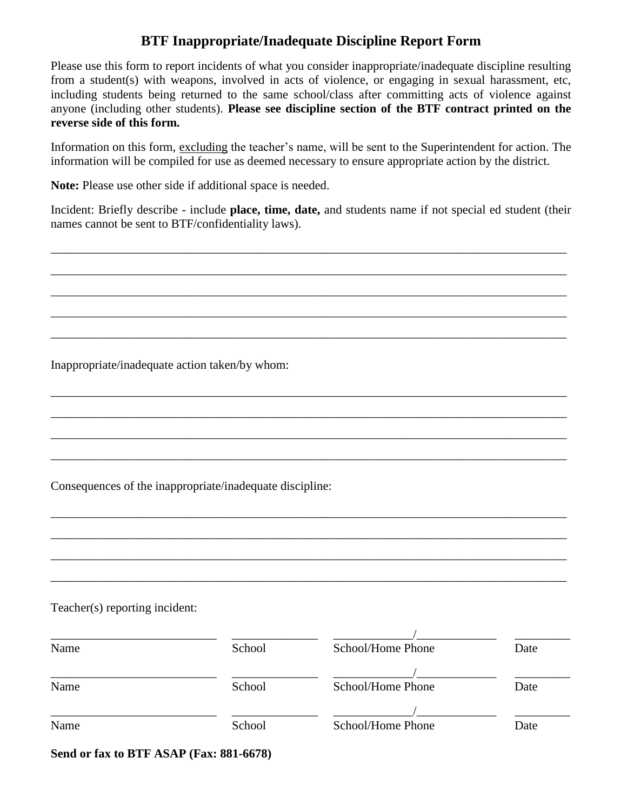## **BTF Inappropriate/Inadequate Discipline Report Form**

Please use this form to report incidents of what you consider inappropriate/inadequate discipline resulting from a student(s) with weapons, involved in acts of violence, or engaging in sexual harassment, etc, including students being returned to the same school/class after committing acts of violence against anyone (including other students). **Please see discipline section of the BTF contract printed on the reverse side of this form.** 

Information on this form, excluding the teacher's name, will be sent to the Superintendent for action. The information will be compiled for use as deemed necessary to ensure appropriate action by the district.

**Note:** Please use other side if additional space is needed.

Incident: Briefly describe - include **place, time, date,** and students name if not special ed student (their names cannot be sent to BTF/confidentiality laws).

\_\_\_\_\_\_\_\_\_\_\_\_\_\_\_\_\_\_\_\_\_\_\_\_\_\_\_\_\_\_\_\_\_\_\_\_\_\_\_\_\_\_\_\_\_\_\_\_\_\_\_\_\_\_\_\_\_\_\_\_\_\_\_\_\_\_\_\_\_\_\_\_\_\_\_\_\_\_\_\_\_\_\_\_

\_\_\_\_\_\_\_\_\_\_\_\_\_\_\_\_\_\_\_\_\_\_\_\_\_\_\_\_\_\_\_\_\_\_\_\_\_\_\_\_\_\_\_\_\_\_\_\_\_\_\_\_\_\_\_\_\_\_\_\_\_\_\_\_\_\_\_\_\_\_\_\_\_\_\_\_\_\_\_\_\_\_\_\_

\_\_\_\_\_\_\_\_\_\_\_\_\_\_\_\_\_\_\_\_\_\_\_\_\_\_\_\_\_\_\_\_\_\_\_\_\_\_\_\_\_\_\_\_\_\_\_\_\_\_\_\_\_\_\_\_\_\_\_\_\_\_\_\_\_\_\_\_\_\_\_\_\_\_\_\_\_\_\_\_\_\_\_\_

\_\_\_\_\_\_\_\_\_\_\_\_\_\_\_\_\_\_\_\_\_\_\_\_\_\_\_\_\_\_\_\_\_\_\_\_\_\_\_\_\_\_\_\_\_\_\_\_\_\_\_\_\_\_\_\_\_\_\_\_\_\_\_\_\_\_\_\_\_\_\_\_\_\_\_\_\_\_\_\_\_\_\_\_

\_\_\_\_\_\_\_\_\_\_\_\_\_\_\_\_\_\_\_\_\_\_\_\_\_\_\_\_\_\_\_\_\_\_\_\_\_\_\_\_\_\_\_\_\_\_\_\_\_\_\_\_\_\_\_\_\_\_\_\_\_\_\_\_\_\_\_\_\_\_\_\_\_\_\_\_\_\_\_\_\_\_\_\_

\_\_\_\_\_\_\_\_\_\_\_\_\_\_\_\_\_\_\_\_\_\_\_\_\_\_\_\_\_\_\_\_\_\_\_\_\_\_\_\_\_\_\_\_\_\_\_\_\_\_\_\_\_\_\_\_\_\_\_\_\_\_\_\_\_\_\_\_\_\_\_\_\_\_\_\_\_\_\_\_\_\_\_\_

\_\_\_\_\_\_\_\_\_\_\_\_\_\_\_\_\_\_\_\_\_\_\_\_\_\_\_\_\_\_\_\_\_\_\_\_\_\_\_\_\_\_\_\_\_\_\_\_\_\_\_\_\_\_\_\_\_\_\_\_\_\_\_\_\_\_\_\_\_\_\_\_\_\_\_\_\_\_\_\_\_\_\_\_

\_\_\_\_\_\_\_\_\_\_\_\_\_\_\_\_\_\_\_\_\_\_\_\_\_\_\_\_\_\_\_\_\_\_\_\_\_\_\_\_\_\_\_\_\_\_\_\_\_\_\_\_\_\_\_\_\_\_\_\_\_\_\_\_\_\_\_\_\_\_\_\_\_\_\_\_\_\_\_\_\_\_\_\_

\_\_\_\_\_\_\_\_\_\_\_\_\_\_\_\_\_\_\_\_\_\_\_\_\_\_\_\_\_\_\_\_\_\_\_\_\_\_\_\_\_\_\_\_\_\_\_\_\_\_\_\_\_\_\_\_\_\_\_\_\_\_\_\_\_\_\_\_\_\_\_\_\_\_\_\_\_\_\_\_\_\_\_\_

\_\_\_\_\_\_\_\_\_\_\_\_\_\_\_\_\_\_\_\_\_\_\_\_\_\_\_\_\_\_\_\_\_\_\_\_\_\_\_\_\_\_\_\_\_\_\_\_\_\_\_\_\_\_\_\_\_\_\_\_\_\_\_\_\_\_\_\_\_\_\_\_\_\_\_\_\_\_\_\_\_\_\_\_

\_\_\_\_\_\_\_\_\_\_\_\_\_\_\_\_\_\_\_\_\_\_\_\_\_\_\_\_\_\_\_\_\_\_\_\_\_\_\_\_\_\_\_\_\_\_\_\_\_\_\_\_\_\_\_\_\_\_\_\_\_\_\_\_\_\_\_\_\_\_\_\_\_\_\_\_\_\_\_\_\_\_\_\_

\_\_\_\_\_\_\_\_\_\_\_\_\_\_\_\_\_\_\_\_\_\_\_\_\_\_\_\_\_\_\_\_\_\_\_\_\_\_\_\_\_\_\_\_\_\_\_\_\_\_\_\_\_\_\_\_\_\_\_\_\_\_\_\_\_\_\_\_\_\_\_\_\_\_\_\_\_\_\_\_\_\_\_\_

\_\_\_\_\_\_\_\_\_\_\_\_\_\_\_\_\_\_\_\_\_\_\_\_\_\_\_\_\_\_\_\_\_\_\_\_\_\_\_\_\_\_\_\_\_\_\_\_\_\_\_\_\_\_\_\_\_\_\_\_\_\_\_\_\_\_\_\_\_\_\_\_\_\_\_\_\_\_\_\_\_\_\_\_

Inappropriate/inadequate action taken/by whom:

Consequences of the inappropriate/inadequate discipline:

## Teacher(s) reporting incident:

| Name | School | School/Home Phone | Date |
|------|--------|-------------------|------|
|      |        |                   |      |
| Name | School | School/Home Phone | Date |
|      |        |                   |      |
| Name | School | School/Home Phone | Date |
|      |        |                   |      |

**Send or fax to BTF ASAP (Fax: 881-6678)**